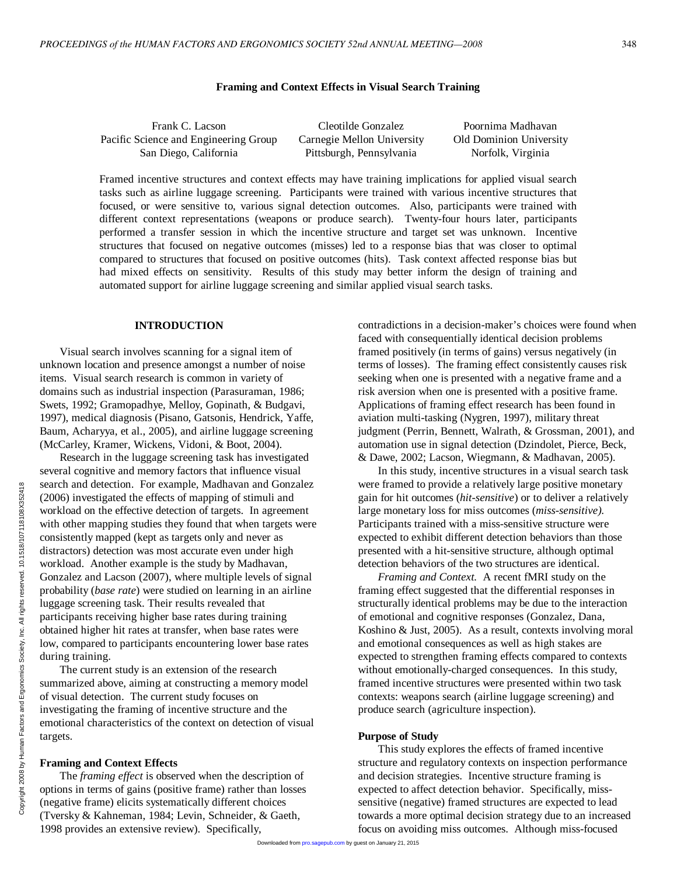## **Framing and Context Effects in Visual Search Training**

Frank C. Lacson Pacific Science and Engineering Group San Diego, California Cleotilde Gonzalez Carnegie Mellon University Pittsburgh, Pennsylvania Poornima Madhavan Old Dominion University Norfolk, Virginia

Framed incentive structures and context effects may have training implications for applied visual search tasks such as airline luggage screening. Participants were trained with various incentive structures that focused, or were sensitive to, various signal detection outcomes. Also, participants were trained with different context representations (weapons or produce search). Twenty-four hours later, participants performed a transfer session in which the incentive structure and target set was unknown. Incentive structures that focused on negative outcomes (misses) led to a response bias that was closer to optimal compared to structures that focused on positive outcomes (hits). Task context affected response bias but had mixed effects on sensitivity. Results of this study may better inform the design of training and automated support for airline luggage screening and similar applied visual search tasks.

# **INTRODUCTION**

Visual search involves scanning for a signal item of unknown location and presence amongst a number of noise items. Visual search research is common in variety of domains such as industrial inspection (Parasuraman, 1986; Swets, 1992; Gramopadhye, Melloy, Gopinath, & Budgavi, 1997), medical diagnosis (Pisano, Gatsonis, Hendrick, Yaffe, Baum, Acharyya, et al., 2005), and airline luggage screening (McCarley, Kramer, Wickens, Vidoni, & Boot, 2004).

Research in the luggage screening task has investigated several cognitive and memory factors that influence visual search and detection. For example, Madhavan and Gonzalez (2006) investigated the effects of mapping of stimuli and workload on the effective detection of targets. In agreement with other mapping studies they found that when targets were consistently mapped (kept as targets only and never as distractors) detection was most accurate even under high workload. Another example is the study by Madhavan, Gonzalez and Lacson (2007), where multiple levels of signal probability (*base rate*) were studied on learning in an airline luggage screening task. Their results revealed that participants receiving higher base rates during training obtained higher hit rates at transfer, when base rates were low, compared to participants encountering lower base rates during training.

The current study is an extension of the research summarized above, aiming at constructing a memory model of visual detection. The current study focuses on investigating the framing of incentive structure and the emotional characteristics of the context on detection of visual targets.

#### **Framing and Context Effects**

The *framing effect* is observed when the description of options in terms of gains (positive frame) rather than losses (negative frame) elicits systematically different choices (Tversky & Kahneman, 1984; Levin, Schneider, & Gaeth, 1998 provides an extensive review). Specifically,

contradictions in a decision-maker's choices were found when faced with consequentially identical decision problems framed positively (in terms of gains) versus negatively (in terms of losses). The framing effect consistently causes risk seeking when one is presented with a negative frame and a risk aversion when one is presented with a positive frame. Applications of framing effect research has been found in aviation multi-tasking (Nygren, 1997), military threat judgment (Perrin, Bennett, Walrath, & Grossman, 2001), and automation use in signal detection (Dzindolet, Pierce, Beck, & Dawe, 2002; Lacson, Wiegmann, & Madhavan, 2005).

In this study, incentive structures in a visual search task were framed to provide a relatively large positive monetary gain for hit outcomes (*hit-sensitive*) or to deliver a relatively large monetary loss for miss outcomes (*miss-sensitive)*. Participants trained with a miss-sensitive structure were expected to exhibit different detection behaviors than those presented with a hit-sensitive structure, although optimal detection behaviors of the two structures are identical.

*Framing and Context.* A recent fMRI study on the framing effect suggested that the differential responses in structurally identical problems may be due to the interaction of emotional and cognitive responses (Gonzalez, Dana, Koshino & Just, 2005). As a result, contexts involving moral and emotional consequences as well as high stakes are expected to strengthen framing effects compared to contexts without emotionally-charged consequences. In this study, framed incentive structures were presented within two task contexts: weapons search (airline luggage screening) and produce search (agriculture inspection).

## **Purpose of Study**

This study explores the effects of framed incentive structure and regulatory contexts on inspection performance and decision strategies. Incentive structure framing is expected to affect detection behavior. Specifically, misssensitive (negative) framed structures are expected to lead towards a more optimal decision strategy due to an increased focus on avoiding miss outcomes. Although miss-focused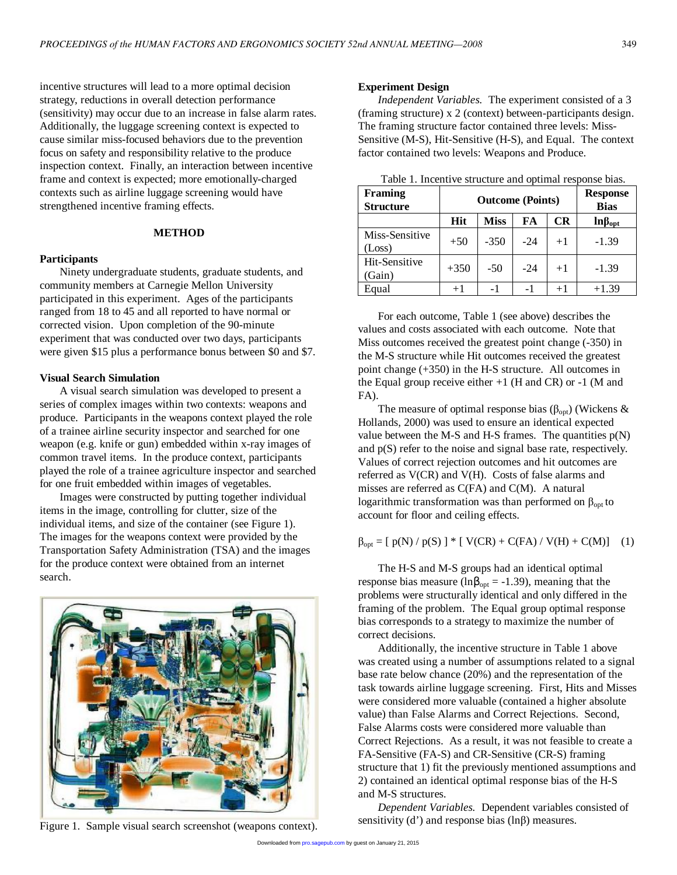incentive structures will lead to a more optimal decision strategy, reductions in overall detection performance (sensitivity) may occur due to an increase in false alarm rates. Additionally, the luggage screening context is expected to cause similar miss-focused behaviors due to the prevention focus on safety and responsibility relative to the produce inspection context. Finally, an interaction between incentive frame and context is expected; more emotionally-charged contexts such as airline luggage screening would have strengthened incentive framing effects.

## **METHOD**

#### **Participants**

Ninety undergraduate students, graduate students, and community members at Carnegie Mellon University participated in this experiment. Ages of the participants ranged from 18 to 45 and all reported to have normal or corrected vision. Upon completion of the 90-minute experiment that was conducted over two days, participants were given \$15 plus a performance bonus between \$0 and \$7.

#### **Visual Search Simulation**

A visual search simulation was developed to present a series of complex images within two contexts: weapons and produce. Participants in the weapons context played the role of a trainee airline security inspector and searched for one weapon (e.g. knife or gun) embedded within x-ray images of common travel items. In the produce context, participants played the role of a trainee agriculture inspector and searched for one fruit embedded within images of vegetables.

Images were constructed by putting together individual items in the image, controlling for clutter, size of the individual items, and size of the container (see Figure 1). The images for the weapons context were provided by the Transportation Safety Administration (TSA) and the images for the produce context were obtained from an internet search.



Figure 1. Sample visual search screenshot (weapons context).

## **Experiment Design**

*Independent Variables.* The experiment consisted of a 3 (framing structure) x 2 (context) between-participants design. The framing structure factor contained three levels: Miss-Sensitive (M-S), Hit-Sensitive (H-S), and Equal. The context factor contained two levels: Weapons and Produce.

| Table 1. Incentive structure and optimal response bias. |  |  |
|---------------------------------------------------------|--|--|
|---------------------------------------------------------|--|--|

| <b>Framing</b><br><b>Structure</b> | <b>Outcome (Points)</b> | <b>Response</b><br><b>Bias</b> |       |      |                 |
|------------------------------------|-------------------------|--------------------------------|-------|------|-----------------|
|                                    | <b>Hit</b>              | <b>Miss</b>                    | FA    | CR   | $ln\beta_{opt}$ |
| Miss-Sensitive<br>(Loss)           | $+50$                   | $-350$                         | $-24$ | $+1$ | $-1.39$         |
| Hit-Sensitive<br>(Gain)            | $+350$                  | $-50$                          | $-24$ | $+1$ | $-1.39$         |
| Equal                              | $+1$                    | $-1$                           | - 1   | $+1$ | $+1.39$         |

For each outcome, Table 1 (see above) describes the values and costs associated with each outcome. Note that Miss outcomes received the greatest point change (-350) in the M-S structure while Hit outcomes received the greatest point change (+350) in the H-S structure. All outcomes in the Equal group receive either  $+1$  (H and CR) or  $-1$  (M and FA).

The measure of optimal response bias ( $\beta_{opt}$ ) (Wickens & Hollands, 2000) was used to ensure an identical expected value between the M-S and H-S frames. The quantities  $p(N)$ and p(S) refer to the noise and signal base rate, respectively. Values of correct rejection outcomes and hit outcomes are referred as V(CR) and V(H). Costs of false alarms and misses are referred as C(FA) and C(M). A natural logarithmic transformation was than performed on  $β<sub>opt</sub>$  to account for floor and ceiling effects.

 $\beta_{\text{opt}} = [p(N) / p(S)]$  \* [ V(CR) + C(FA) / V(H) + C(M)] (1)

The H-S and M-S groups had an identical optimal response bias measure (ln $\beta_{opt} = -1.39$ ), meaning that the problems were structurally identical and only differed in the framing of the problem. The Equal group optimal response bias corresponds to a strategy to maximize the number of correct decisions.

Additionally, the incentive structure in Table 1 above was created using a number of assumptions related to a signal base rate below chance (20%) and the representation of the task towards airline luggage screening. First, Hits and Misses were considered more valuable (contained a higher absolute value) than False Alarms and Correct Rejections. Second, False Alarms costs were considered more valuable than Correct Rejections. As a result, it was not feasible to create a FA-Sensitive (FA-S) and CR-Sensitive (CR-S) framing structure that 1) fit the previously mentioned assumptions and 2) contained an identical optimal response bias of the H-S and M-S structures.

*Dependent Variables.* Dependent variables consisted of sensitivity (d') and response bias (ln $\beta$ ) measures.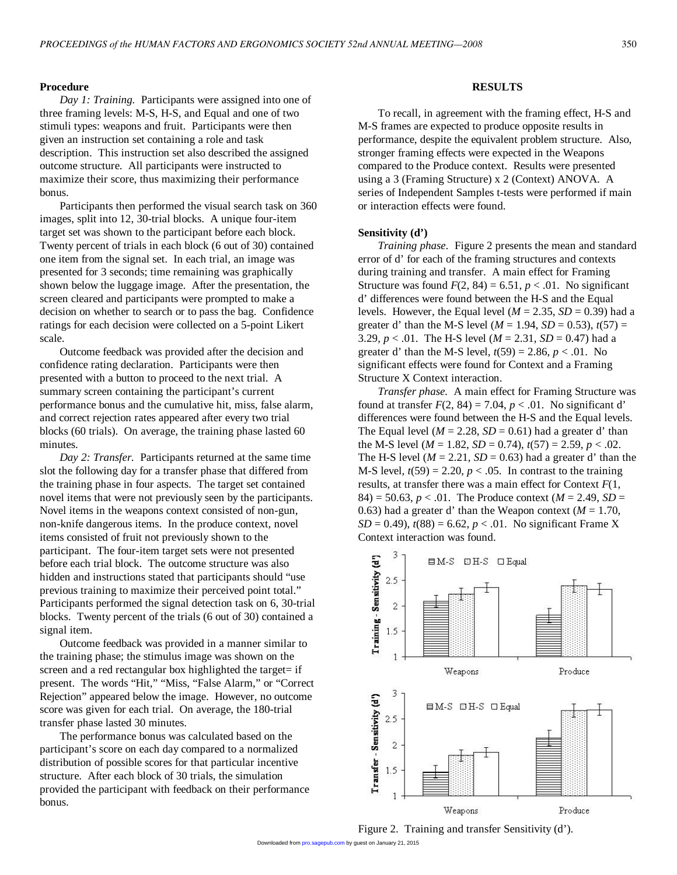## **Procedure**

*Day 1: Training.* Participants were assigned into one of three framing levels: M-S, H-S, and Equal and one of two stimuli types: weapons and fruit. Participants were then given an instruction set containing a role and task description. This instruction set also described the assigned outcome structure. All participants were instructed to maximize their score, thus maximizing their performance bonus.

Participants then performed the visual search task on 360 images, split into 12, 30-trial blocks. A unique four-item target set was shown to the participant before each block. Twenty percent of trials in each block (6 out of 30) contained one item from the signal set. In each trial, an image was presented for 3 seconds; time remaining was graphically shown below the luggage image. After the presentation, the screen cleared and participants were prompted to make a decision on whether to search or to pass the bag. Confidence ratings for each decision were collected on a 5-point Likert scale.

Outcome feedback was provided after the decision and confidence rating declaration. Participants were then presented with a button to proceed to the next trial. A summary screen containing the participant's current performance bonus and the cumulative hit, miss, false alarm, and correct rejection rates appeared after every two trial blocks (60 trials). On average, the training phase lasted 60 minutes.

*Day 2: Transfer.* Participants returned at the same time slot the following day for a transfer phase that differed from the training phase in four aspects. The target set contained novel items that were not previously seen by the participants. Novel items in the weapons context consisted of non-gun, non-knife dangerous items. In the produce context, novel items consisted of fruit not previously shown to the participant. The four-item target sets were not presented before each trial block. The outcome structure was also hidden and instructions stated that participants should "use previous training to maximize their perceived point total." Participants performed the signal detection task on 6, 30-trial blocks. Twenty percent of the trials (6 out of 30) contained a signal item.

Outcome feedback was provided in a manner similar to the training phase; the stimulus image was shown on the screen and a red rectangular box highlighted the target= if present. The words "Hit," "Miss, "False Alarm," or "Correct Rejection" appeared below the image. However, no outcome score was given for each trial. On average, the 180-trial transfer phase lasted 30 minutes.

The performance bonus was calculated based on the participant's score on each day compared to a normalized distribution of possible scores for that particular incentive structure. After each block of 30 trials, the simulation provided the participant with feedback on their performance bonus.

# **RESULTS**

To recall, in agreement with the framing effect, H-S and M-S frames are expected to produce opposite results in performance, despite the equivalent problem structure. Also, stronger framing effects were expected in the Weapons compared to the Produce context. Results were presented using a 3 (Framing Structure) x 2 (Context) ANOVA. A series of Independent Samples t-tests were performed if main or interaction effects were found.

## **Sensitivity (d')**

*Training phase.* Figure 2 presents the mean and standard error of d' for each of the framing structures and contexts during training and transfer. A main effect for Framing Structure was found  $F(2, 84) = 6.51$ ,  $p < .01$ . No significant d' differences were found between the H-S and the Equal levels. However, the Equal level ( $M = 2.35$ ,  $SD = 0.39$ ) had a greater d' than the M-S level ( $M = 1.94$ ,  $SD = 0.53$ ),  $t(57) =$ 3.29,  $p < 0.01$ . The H-S level ( $M = 2.31$ ,  $SD = 0.47$ ) had a greater d' than the M-S level,  $t(59) = 2.86, p < .01$ . No significant effects were found for Context and a Framing Structure X Context interaction.

*Transfer phase.* A main effect for Framing Structure was found at transfer  $F(2, 84) = 7.04$ ,  $p < .01$ . No significant d' differences were found between the H-S and the Equal levels. The Equal level ( $M = 2.28$ ,  $SD = 0.61$ ) had a greater d' than the M-S level ( $M = 1.82$ ,  $SD = 0.74$ ),  $t(57) = 2.59$ ,  $p < .02$ . The H-S level ( $M = 2.21$ ,  $SD = 0.63$ ) had a greater d' than the M-S level,  $t(59) = 2.20$ ,  $p < .05$ . In contrast to the training results, at transfer there was a main effect for Context *F*(1, 84) = 50.63,  $p < .01$ . The Produce context ( $M = 2.49$ ,  $SD =$ 0.63) had a greater d' than the Weapon context ( $M = 1.70$ ,  $SD = 0.49$ ,  $t(88) = 6.62$ ,  $p < .01$ . No significant Frame X Context interaction was found.



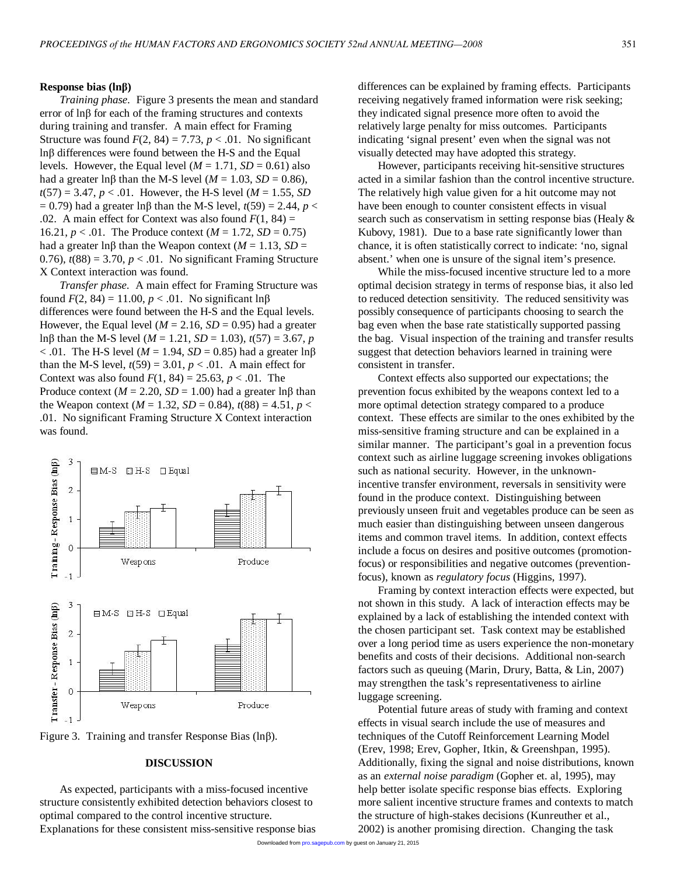## **Response bias (lnβ)**

*Training phase.* Figure 3 presents the mean and standard error of lnβ for each of the framing structures and contexts during training and transfer. A main effect for Framing Structure was found  $F(2, 84) = 7.73$ ,  $p < .01$ . No significant lnβ differences were found between the H-S and the Equal levels. However, the Equal level  $(M = 1.71, SD = 0.61)$  also had a greater ln $\beta$  than the M-S level ( $M = 1.03$ ,  $SD = 0.86$ ),  $t(57) = 3.47, p < .01$ . However, the H-S level (*M* = 1.55, *SD* = 0.79) had a greater ln $\beta$  than the M-S level,  $t(59) = 2.44$ ,  $p <$ .02. A main effect for Context was also found  $F(1, 84) =$ 16.21,  $p < .01$ . The Produce context ( $M = 1.72$ ,  $SD = 0.75$ ) had a greater lnβ than the Weapon context ( $M = 1.13$ , *SD* = 0.76),  $t(88) = 3.70$ ,  $p < 0.01$ . No significant Framing Structure X Context interaction was found.

*Transfer phase.* A main effect for Framing Structure was found  $F(2, 84) = 11.00, p < .01$ . No significant ln $\beta$ differences were found between the H-S and the Equal levels. However, the Equal level ( $M = 2.16$ ,  $SD = 0.95$ ) had a greater lnβ than the M-S level (*M* = 1.21, *SD* = 1.03), *t*(57) = 3.67, *p*  $< .01$ . The H-S level (*M* = 1.94, *SD* = 0.85) had a greater ln $\beta$ than the M-S level,  $t(59) = 3.01$ ,  $p < .01$ . A main effect for Context was also found  $F(1, 84) = 25.63$ ,  $p < .01$ . The Produce context ( $M = 2.20$ ,  $SD = 1.00$ ) had a greater ln $\beta$  than the Weapon context ( $M = 1.32$ ,  $SD = 0.84$ ),  $t(88) = 4.51$ ,  $p <$ .01. No significant Framing Structure X Context interaction was found.





# **DISCUSSION**

As expected, participants with a miss-focused incentive structure consistently exhibited detection behaviors closest to optimal compared to the control incentive structure. Explanations for these consistent miss-sensitive response bias differences can be explained by framing effects. Participants receiving negatively framed information were risk seeking; they indicated signal presence more often to avoid the relatively large penalty for miss outcomes. Participants indicating 'signal present' even when the signal was not visually detected may have adopted this strategy.

However, participants receiving hit-sensitive structures acted in a similar fashion than the control incentive structure. The relatively high value given for a hit outcome may not have been enough to counter consistent effects in visual search such as conservatism in setting response bias (Healy & Kubovy, 1981). Due to a base rate significantly lower than chance, it is often statistically correct to indicate: 'no, signal absent.' when one is unsure of the signal item's presence.

While the miss-focused incentive structure led to a more optimal decision strategy in terms of response bias, it also led to reduced detection sensitivity. The reduced sensitivity was possibly consequence of participants choosing to search the bag even when the base rate statistically supported passing the bag. Visual inspection of the training and transfer results suggest that detection behaviors learned in training were consistent in transfer.

Context effects also supported our expectations; the prevention focus exhibited by the weapons context led to a more optimal detection strategy compared to a produce context. These effects are similar to the ones exhibited by the miss-sensitive framing structure and can be explained in a similar manner. The participant's goal in a prevention focus context such as airline luggage screening invokes obligations such as national security. However, in the unknownincentive transfer environment, reversals in sensitivity were found in the produce context. Distinguishing between previously unseen fruit and vegetables produce can be seen as much easier than distinguishing between unseen dangerous items and common travel items. In addition, context effects include a focus on desires and positive outcomes (promotionfocus) or responsibilities and negative outcomes (preventionfocus), known as *regulatory focus* (Higgins, 1997).

Framing by context interaction effects were expected, but not shown in this study. A lack of interaction effects may be explained by a lack of establishing the intended context with the chosen participant set. Task context may be established over a long period time as users experience the non-monetary benefits and costs of their decisions. Additional non-search factors such as queuing (Marin, Drury, Batta, & Lin, 2007) may strengthen the task's representativeness to airline luggage screening.

Potential future areas of study with framing and context effects in visual search include the use of measures and techniques of the Cutoff Reinforcement Learning Model (Erev, 1998; Erev, Gopher, Itkin, & Greenshpan, 1995). Additionally, fixing the signal and noise distributions, known as an *external noise paradigm* (Gopher et. al, 1995), may help better isolate specific response bias effects. Exploring more salient incentive structure frames and contexts to match the structure of high-stakes decisions (Kunreuther et al., 2002) is another promising direction. Changing the task